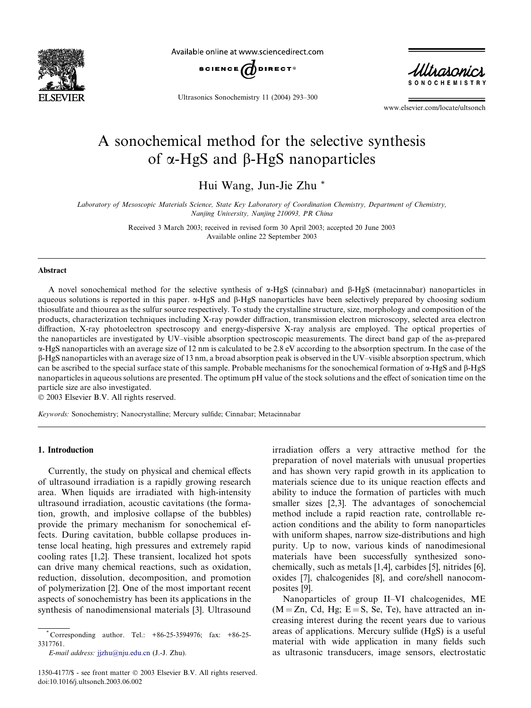

Available online at www.sciencedirect.com



Ultrasonics Sonochemistry 11 (2004) 293–300



www.elsevier.com/locate/ultsonch

# A sonochemical method for the selective synthesis of  $\alpha$ -HgS and  $\beta$ -HgS nanoparticles

Hui Wang, Jun-Jie Zhu \*

Laboratory of Mesoscopic Materials Science, State Key Laboratory of Coordination Chemistry, Department of Chemistry, Nanjing University, Nanjing 210093, PR China

> Received 3 March 2003; received in revised form 30 April 2003; accepted 20 June 2003 Available online 22 September 2003

## Abstract

A novel sonochemical method for the selective synthesis of  $\alpha$ -HgS (cinnabar) and  $\beta$ -HgS (metacinnabar) nanoparticles in aqueous solutions is reported in this paper.  $\alpha$ -HgS and  $\beta$ -HgS nanoparticles have been selectively prepared by choosing sodium thiosulfate and thiourea as the sulfur source respectively. To study the crystalline structure, size, morphology and composition of the products, characterization techniques including X-ray powder diffraction, transmission electron microscopy, selected area electron diffraction, X-ray photoelectron spectroscopy and energy-dispersive X-ray analysis are employed. The optical properties of the nanoparticles are investigated by UV–visible absorption spectroscopic measurements. The direct band gap of the as-prepared a-HgS nanoparticles with an average size of 12 nm is calculated to be 2.8 eV according to the absorption spectrum. In the case of the b-HgS nanoparticles with an average size of 13 nm, a broad absorption peak is observed in the UV–visible absorption spectrum, which can be ascribed to the special surface state of this sample. Probable mechanisms for the sonochemical formation of  $\alpha$ -HgS and B-HgS nanoparticles in aqueous solutions are presented. The optimum pH value of the stock solutions and the effect of sonication time on the particle size are also investigated.

 $© 2003 Elsevier B.V. All rights reserved.$ 

Keywords: Sonochemistry; Nanocrystalline; Mercury sulfide; Cinnabar; Metacinnabar

## 1. Introduction

Currently, the study on physical and chemical effects of ultrasound irradiation is a rapidly growing research area. When liquids are irradiated with high-intensity ultrasound irradiation, acoustic cavitations (the formation, growth, and implosive collapse of the bubbles) provide the primary mechanism for sonochemical effects. During cavitation, bubble collapse produces intense local heating, high pressures and extremely rapid cooling rates [1,2]. These transient, localized hot spots can drive many chemical reactions, such as oxidation, reduction, dissolution, decomposition, and promotion of polymerization [2]. One of the most important recent aspects of sonochemistry has been its applications in the synthesis of nanodimensional materials [3]. Ultrasound irradiation offers a very attractive method for the preparation of novel materials with unusual properties and has shown very rapid growth in its application to materials science due to its unique reaction effects and ability to induce the formation of particles with much smaller sizes [2,3]. The advantages of sonochemcial method include a rapid reaction rate, controllable reaction conditions and the ability to form nanoparticles with uniform shapes, narrow size-distributions and high purity. Up to now, various kinds of nanodimesional materials have been successfully synthesized sonochemically, such as metals [1,4], carbides [5], nitrides [6], oxides [7], chalcogenides [8], and core/shell nanocomposites [9].

Nanoparticles of group II–VI chalcogenides, ME  $(M = Zn, Cd, Hg; E = S, Se, Te)$ , have attracted an increasing interest during the recent years due to various areas of applications. Mercury sulfide (HgS) is a useful material with wide application in many fields such as ultrasonic transducers, image sensors, electrostatic

<sup>\*</sup> Corresponding author. Tel.: +86-25-3594976; fax: +86-25- 3317761.

E-mail address: jjzhu@nju.edu.cn (J.-J. Zhu).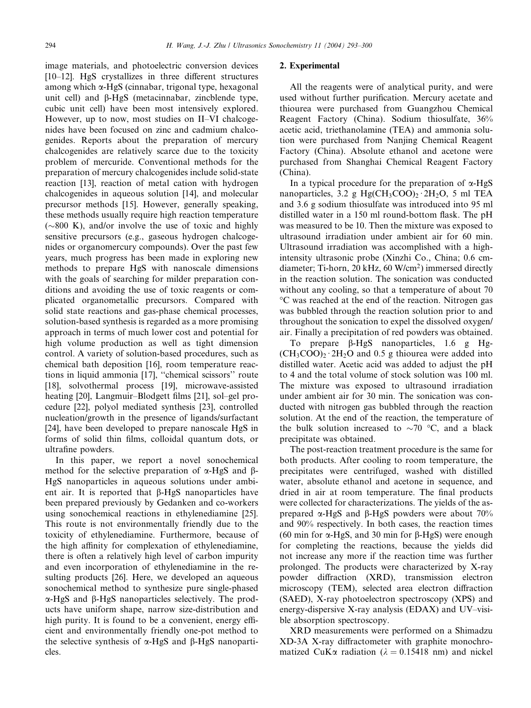image materials, and photoelectric conversion devices [10–12]. HgS crystallizes in three different structures among which a-HgS (cinnabar, trigonal type, hexagonal unit cell) and  $\beta$ -HgS (metacinnabar, zincblende type, cubic unit cell) have been most intensively explored. However, up to now, most studies on II–VI chalcogenides have been focused on zinc and cadmium chalcogenides. Reports about the preparation of mercury chalcogenides are relatively scarce due to the toxicity problem of mercuride. Conventional methods for the preparation of mercury chalcogenides include solid-state reaction [13], reaction of metal cation with hydrogen chalcogenides in aqueous solution [14], and molecular precursor methods [15]. However, generally speaking, these methods usually require high reaction temperature  $(\sim 800 \text{ K})$ , and/or involve the use of toxic and highly sensitive precursors (e.g., gaseous hydrogen chalcogenides or organomercury compounds). Over the past few years, much progress has been made in exploring new methods to prepare HgS with nanoscale dimensions with the goals of searching for milder preparation conditions and avoiding the use of toxic reagents or complicated organometallic precursors. Compared with solid state reactions and gas-phase chemical processes, solution-based synthesis is regarded as a more promising approach in terms of much lower cost and potential for high volume production as well as tight dimension control. A variety of solution-based procedures, such as chemical bath deposition [16], room temperature reactions in liquid ammonia [17], ''chemical scissors'' route [18], solvothermal process [19], microwave-assisted heating [20], Langmuir–Blodgett films [21], sol–gel procedure [22], polyol mediated synthesis [23], controlled nucleation/growth in the presence of ligands/surfactant [24], have been developed to prepare nanoscale HgS in forms of solid thin films, colloidal quantum dots, or ultrafine powders.

In this paper, we report a novel sonochemical method for the selective preparation of  $\alpha$ -HgS and  $\beta$ -HgS nanoparticles in aqueous solutions under ambient air. It is reported that  $\beta$ -HgS nanoparticles have been prepared previously by Gedanken and co-workers using sonochemical reactions in ethylenediamine [25]. This route is not environmentally friendly due to the toxicity of ethylenediamine. Furthermore, because of the high affinity for complexation of ethylenediamine, there is often a relatively high level of carbon impurity and even incorporation of ethylenediamine in the resulting products [26]. Here, we developed an aqueous sonochemical method to synthesize pure single-phased a-HgS and b-HgS nanoparticles selectively. The products have uniform shape, narrow size-distribution and high purity. It is found to be a convenient, energy efficient and environmentally friendly one-pot method to the selective synthesis of  $\alpha$ -HgS and  $\beta$ -HgS nanoparticles.

## 2. Experimental

All the reagents were of analytical purity, and were used without further purification. Mercury acetate and thiourea were purchased from Guangzhou Chemical Reagent Factory (China). Sodium thiosulfate, 36% acetic acid, triethanolamine (TEA) and ammonia solution were purchased from Nanjing Chemical Reagent Factory (China). Absolute ethanol and acetone were purchased from Shanghai Chemical Reagent Factory (China).

In a typical procedure for the preparation of  $\alpha$ -HgS nanoparticles, 3.2 g Hg(CH<sub>3</sub>COO)<sub>2</sub> · 2H<sub>2</sub>O, 5 ml TEA and 3.6 g sodium thiosulfate was introduced into 95 ml distilled water in a 150 ml round-bottom flask. The pH was measured to be 10. Then the mixture was exposed to ultrasound irradiation under ambient air for 60 min. Ultrasound irradiation was accomplished with a highintensity ultrasonic probe (Xinzhi Co., China; 0.6 cmdiameter; Ti-horn, 20 kHz, 60 W/cm2) immersed directly in the reaction solution. The sonication was conducted without any cooling, so that a temperature of about 70 "C was reached at the end of the reaction. Nitrogen gas was bubbled through the reaction solution prior to and throughout the sonication to expel the dissolved oxygen/ air. Finally a precipitation of red powders was obtained.

To prepare b-HgS nanoparticles, 1.6 g Hg-  $(CH_3COO)_2 \cdot 2H_2O$  and 0.5 g thiourea were added into distilled water. Acetic acid was added to adjust the pH to 4 and the total volume of stock solution was 100 ml. The mixture was exposed to ultrasound irradiation under ambient air for 30 min. The sonication was conducted with nitrogen gas bubbled through the reaction solution. At the end of the reaction, the temperature of the bulk solution increased to  $\sim$ 70 °C, and a black precipitate was obtained.

The post-reaction treatment procedure is the same for both products. After cooling to room temperature, the precipitates were centrifuged, washed with distilled water, absolute ethanol and acetone in sequence, and dried in air at room temperature. The final products were collected for characterizations. The yields of the asprepared  $\alpha$ -HgS and  $\beta$ -HgS powders were about 70% and 90% respectively. In both cases, the reaction times (60 min for  $\alpha$ -HgS, and 30 min for  $\beta$ -HgS) were enough for completing the reactions, because the yields did not increase any more if the reaction time was further prolonged. The products were characterized by X-ray powder diffraction (XRD), transmission electron microscopy (TEM), selected area electron diffraction (SAED), X-ray photoelectron spectroscopy (XPS) and energy-dispersive X-ray analysis (EDAX) and UV–visible absorption spectroscopy.

XRD measurements were performed on a Shimadzu XD-3A X-ray diffractometer with graphite monochromatized CuK $\alpha$  radiation ( $\lambda = 0.15418$  nm) and nickel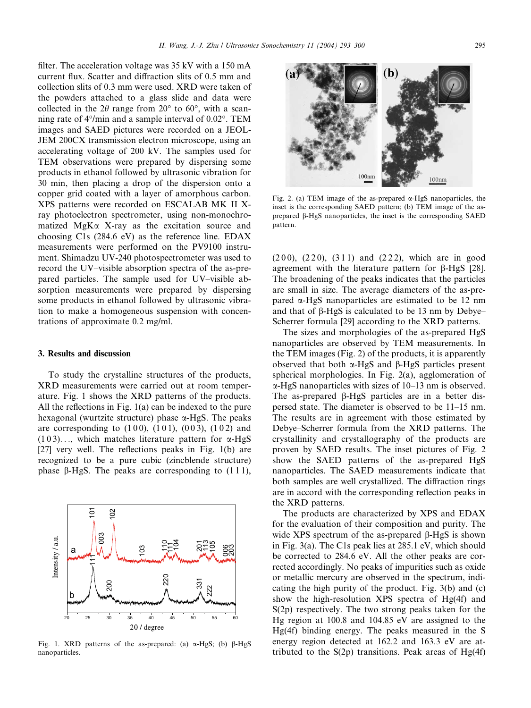filter. The acceleration voltage was 35 kV with a 150 mA current flux. Scatter and diffraction slits of 0.5 mm and collection slits of 0.3 mm were used. XRD were taken of the powders attached to a glass slide and data were collected in the  $2\theta$  range from  $20^{\circ}$  to  $60^{\circ}$ , with a scanning rate of  $4^{\circ}/$ min and a sample interval of  $0.02^{\circ}$ . TEM images and SAED pictures were recorded on a JEOL-JEM 200CX transmission electron microscope, using an accelerating voltage of 200 kV. The samples used for TEM observations were prepared by dispersing some products in ethanol followed by ultrasonic vibration for 30 min, then placing a drop of the dispersion onto a copper grid coated with a layer of amorphous carbon. XPS patterns were recorded on ESCALAB MK II Xray photoelectron spectrometer, using non-monochromatized  $MgK\alpha$  X-ray as the excitation source and choosing C1s (284.6 eV) as the reference line. EDAX measurements were performed on the PV9100 instrument. Shimadzu UV-240 photospectrometer was used to record the UV–visible absorption spectra of the as-prepared particles. The sample used for UV–visible absorption measurements were prepared by dispersing some products in ethanol followed by ultrasonic vibration to make a homogeneous suspension with concentrations of approximate 0.2 mg/ml.

#### 3. Results and discussion

To study the crystalline structures of the products, XRD measurements were carried out at room temperature. Fig. 1 shows the XRD patterns of the products. All the reflections in Fig. 1(a) can be indexed to the pure hexagonal (wurtzite structure) phase  $\alpha$ -HgS. The peaks are corresponding to  $(100)$ ,  $(101)$ ,  $(003)$ ,  $(102)$  and  $(103)$ ..., which matches literature pattern for  $\alpha$ -HgS [27] very well. The reflections peaks in Fig. 1(b) are recognized to be a pure cubic (zincblende structure) phase  $\beta$ -HgS. The peaks are corresponding to (111),



Fig. 1. XRD patterns of the as-prepared: (a)  $\alpha$ -HgS; (b)  $\beta$ -HgS nanoparticles.



Fig. 2. (a) TEM image of the as-prepared  $\alpha$ -HgS nanoparticles, the inset is the corresponding SAED pattern; (b) TEM image of the asprepared b-HgS nanoparticles, the inset is the corresponding SAED pattern.

 $(200)$ ,  $(220)$ ,  $(311)$  and  $(222)$ , which are in good agreement with the literature pattern for b-HgS [28]. The broadening of the peaks indicates that the particles are small in size. The average diameters of the as-prepared a-HgS nanoparticles are estimated to be 12 nm and that of  $\beta$ -HgS is calculated to be 13 nm by Debye– Scherrer formula [29] according to the XRD patterns.

The sizes and morphologies of the as-prepared HgS nanoparticles are observed by TEM measurements. In the TEM images (Fig. 2) of the products, it is apparently observed that both  $\alpha$ -HgS and  $\beta$ -HgS particles present spherical morphologies. In Fig. 2(a), agglomeration of a-HgS nanoparticles with sizes of 10–13 nm is observed. The as-prepared  $\beta$ -HgS particles are in a better dispersed state. The diameter is observed to be 11–15 nm. The results are in agreement with those estimated by Debye–Scherrer formula from the XRD patterns. The crystallinity and crystallography of the products are proven by SAED results. The inset pictures of Fig. 2 show the SAED patterns of the as-prepared HgS nanoparticles. The SAED measurements indicate that both samples are well crystallized. The diffraction rings are in accord with the corresponding reflection peaks in the XRD patterns.

The products are characterized by XPS and EDAX for the evaluation of their composition and purity. The wide XPS spectrum of the as-prepared  $\beta$ -HgS is shown in Fig. 3(a). The C1s peak lies at 285.1 eV, which should be corrected to 284.6 eV. All the other peaks are corrected accordingly. No peaks of impurities such as oxide or metallic mercury are observed in the spectrum, indicating the high purity of the product. Fig. 3(b) and (c) show the high-resolution XPS spectra of Hg(4f) and S(2p) respectively. The two strong peaks taken for the Hg region at 100.8 and 104.85 eV are assigned to the Hg(4f) binding energy. The peaks measured in the S energy region detected at 162.2 and 163.3 eV are attributed to the  $S(2p)$  transitions. Peak areas of  $Hg(4f)$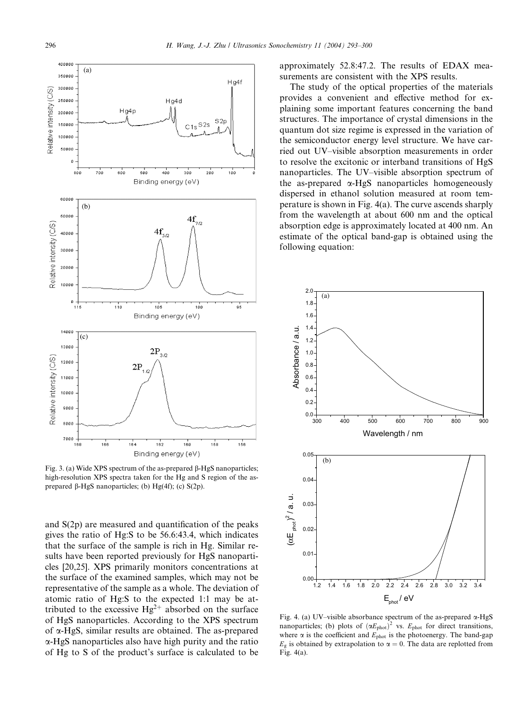

Fig. 3. (a) Wide XPS spectrum of the as-prepared  $\beta$ -HgS nanoparticles; high-resolution XPS spectra taken for the Hg and S region of the asprepared  $\beta$ -HgS nanoparticles; (b) Hg(4f); (c) S(2p).

and S(2p) are measured and quantification of the peaks gives the ratio of Hg:S to be 56.6:43.4, which indicates that the surface of the sample is rich in Hg. Similar results have been reported previously for HgS nanoparticles [20,25]. XPS primarily monitors concentrations at the surface of the examined samples, which may not be representative of the sample as a whole. The deviation of atomic ratio of Hg:S to the expected 1:1 may be attributed to the excessive  $Hg^{2+}$  absorbed on the surface of HgS nanoparticles. According to the XPS spectrum of a-HgS, similar results are obtained. The as-prepared a-HgS nanoparticles also have high purity and the ratio of Hg to S of the product's surface is calculated to be approximately 52.8:47.2. The results of EDAX measurements are consistent with the XPS results.

The study of the optical properties of the materials provides a convenient and effective method for explaining some important features concerning the band structures. The importance of crystal dimensions in the quantum dot size regime is expressed in the variation of the semiconductor energy level structure. We have carried out UV–visible absorption measurements in order to resolve the excitonic or interband transitions of HgS nanoparticles. The UV–visible absorption spectrum of the as-prepared  $\alpha$ -HgS nanoparticles homogeneously dispersed in ethanol solution measured at room temperature is shown in Fig. 4(a). The curve ascends sharply from the wavelength at about 600 nm and the optical absorption edge is approximately located at 400 nm. An estimate of the optical band-gap is obtained using the following equation:



Fig. 4. (a) UV–visible absorbance spectrum of the as-prepared a-HgS nanoparticles; (b) plots of  $(\alpha E_{phot})^2$  vs.  $E_{phot}$  for direct transitions, where  $\alpha$  is the coefficient and  $E_{phot}$  is the photoenergy. The band-gap  $E_g$  is obtained by extrapolation to  $\alpha = 0$ . The data are replotted from Fig. 4(a).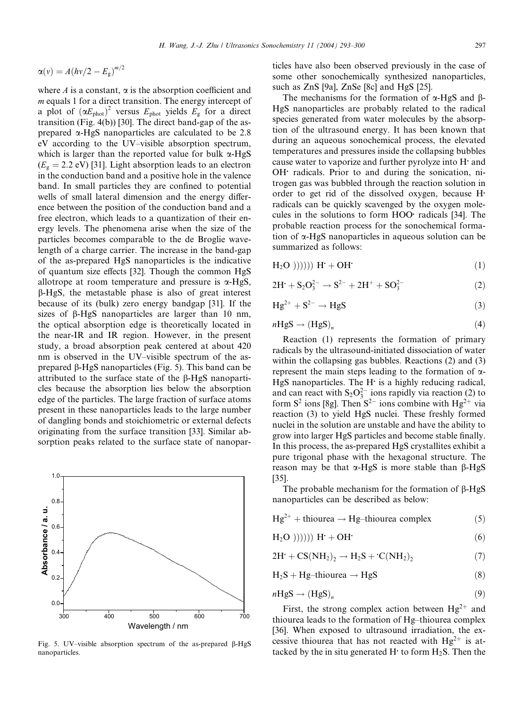$$
\alpha(v) = A(hv/2 - E_g)^{m/2}
$$

where  $A$  is a constant,  $\alpha$  is the absorption coefficient and m equals 1 for a direct transition. The energy intercept of a plot of  $(\alpha E_{phot})^2$  versus  $E_{phot}$  yields  $E_g$  for a direct transition (Fig. 4(b)) [30]. The direct band-gap of the asprepared  $\alpha$ -HgS nanoparticles are calculated to be 2.8 eV according to the UV–visible absorption spectrum, which is larger than the reported value for bulk  $\alpha$ -HgS  $(E_g = 2.2 \text{ eV})$  [31]. Light absorption leads to an electron in the conduction band and a positive hole in the valence band. In small particles they are confined to potential wells of small lateral dimension and the energy difference between the position of the conduction band and a free electron, which leads to a quantization of their energy levels. The phenomena arise when the size of the particles becomes comparable to the de Broglie wavelength of a charge carrier. The increase in the band-gap of the as-prepared HgS nanoparticles is the indicative of quantum size effects [32]. Though the common HgS allotrope at room temperature and pressure is  $\alpha$ -HgS,  $\beta$ -HgS, the metastable phase is also of great interest because of its (bulk) zero energy bandgap [31]. If the sizes of  $\beta$ -HgS nanoparticles are larger than 10 nm, the optical absorption edge is theoretically located in the near-IR and IR region. However, in the present study, a broad absorption peak centered at about 420 nm is observed in the UV–visible spectrum of the asprepared b-HgS nanoparticles (Fig. 5). This band can be attributed to the surface state of the b-HgS nanoparticles because the absorption lies below the absorption edge of the particles. The large fraction of surface atoms present in these nanoparticles leads to the large number of dangling bonds and stoichiometric or external defects originating from the surface transition [33]. Similar absorption peaks related to the surface state of nanopar-



Fig. 5. UV–visible absorption spectrum of the as-prepared  $\beta$ -HgS nanoparticles.

ticles have also been observed previously in the case of some other sonochemically synthesized nanoparticles, such as ZnS [9a], ZnSe [8c] and HgS [25].

The mechanisms for the formation of  $\alpha$ -HgS and  $\beta$ -HgS nanoparticles are probably related to the radical species generated from water molecules by the absorption of the ultrasound energy. It has been known that during an aqueous sonochemical process, the elevated temperatures and pressures inside the collapsing bubbles cause water to vaporize and further pyrolyze into H and OH! radicals. Prior to and during the sonication, nitrogen gas was bubbled through the reaction solution in order to get rid of the dissolved oxygen, because H. radicals can be quickly scavenged by the oxygen molecules in the solutions to form HOO radicals [34]. The probable reaction process for the sonochemical formation of a-HgS nanoparticles in aqueous solution can be summarized as follows:

$$
H2O)))))) H+ + OH*
$$
 (1)

$$
2H' + S_2O_3^{2-} \to S^{2-} + 2H^+ + SO_3^{2-}
$$
 (2)

$$
Hg^{2+} + S^{2-} \rightarrow HgS
$$
 (3)

$$
nHgS \to (HgS)_n \tag{4}
$$

Reaction (1) represents the formation of primary radicals by the ultrasound-initiated dissociation of water within the collapsing gas bubbles. Reactions (2) and (3) represent the main steps leading to the formation of  $\alpha$ - $HgS$  nanoparticles. The H $\cdot$  is a highly reducing radical, and can react with  $S_2O_3^{2-}$  ions rapidly via reaction (2) to form  $S^2$  ions [8g]. Then  $S^{2-}$  ions combine with Hg<sup>2+</sup> via reaction (3) to yield HgS nuclei. These freshly formed nuclei in the solution are unstable and have the ability to grow into larger HgS particles and become stable finally. In this process, the as-prepared HgS crystallites exhibit a pure trigonal phase with the hexagonal structure. The reason may be that  $\alpha$ -HgS is more stable than  $\beta$ -HgS [35].

The probable mechanism for the formation of  $\beta$ -HgS nanoparticles can be described as below:

 $Hg^{2+}$  + thiourea  $\rightarrow$  Hg–thiourea complex (5)

$$
H2O)))))) H' + OH'
$$
 (6)

$$
2H^{\cdot} + CS(NH_2)_2 \rightarrow H_2S + ^{\cdot}C(NH_2)_2 \tag{7}
$$

$$
H_2S + Hg-thiourea \rightarrow HgS
$$
 (8)

$$
nHgS \to (HgS)_n \tag{9}
$$

First, the strong complex action between  $Hg^{2+}$  and thiourea leads to the formation of Hg–thiourea complex [36]. When exposed to ultrasound irradiation, the excessive thiourea that has not reacted with  $Hg^{2+}$  is attacked by the in situ generated H $\cdot$  to form H<sub>2</sub>S. Then the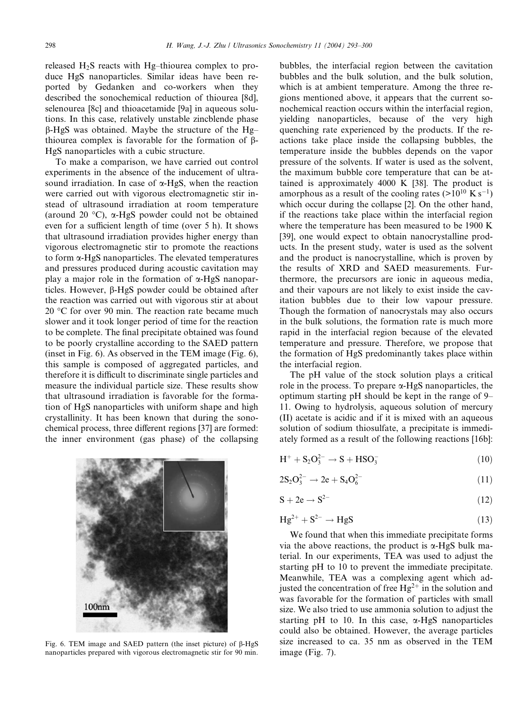released H2S reacts with Hg–thiourea complex to produce HgS nanoparticles. Similar ideas have been reported by Gedanken and co-workers when they described the sonochemical reduction of thiourea [8d], selenourea [8c] and thioacetamide [9a] in aqueous solutions. In this case, relatively unstable zincblende phase b-HgS was obtained. Maybe the structure of the Hg– thiourea complex is favorable for the formation of  $\beta$ -HgS nanoparticles with a cubic structure.

To make a comparison, we have carried out control experiments in the absence of the inducement of ultrasound irradiation. In case of  $\alpha$ -HgS, when the reaction were carried out with vigorous electromagnetic stir instead of ultrasound irradiation at room temperature (around 20  $\degree$ C),  $\alpha$ -HgS powder could not be obtained even for a sufficient length of time (over 5 h). It shows that ultrasound irradiation provides higher energy than vigorous electromagnetic stir to promote the reactions to form a-HgS nanoparticles. The elevated temperatures and pressures produced during acoustic cavitation may play a major role in the formation of  $\alpha$ -HgS nanoparticles. However,  $\beta$ -HgS powder could be obtained after the reaction was carried out with vigorous stir at about 20 "C for over 90 min. The reaction rate became much slower and it took longer period of time for the reaction to be complete. The final precipitate obtained was found to be poorly crystalline according to the SAED pattern (inset in Fig. 6). As observed in the TEM image (Fig. 6), this sample is composed of aggregated particles, and therefore it is difficult to discriminate single particles and measure the individual particle size. These results show that ultrasound irradiation is favorable for the formation of HgS nanoparticles with uniform shape and high crystallinity. It has been known that during the sonochemical process, three different regions [37] are formed: the inner environment (gas phase) of the collapsing



Fig. 6. TEM image and SAED pattern (the inset picture) of  $\beta$ -HgS nanoparticles prepared with vigorous electromagnetic stir for 90 min.

bubbles, the interfacial region between the cavitation bubbles and the bulk solution, and the bulk solution, which is at ambient temperature. Among the three regions mentioned above, it appears that the current sonochemical reaction occurs within the interfacial region, yielding nanoparticles, because of the very high quenching rate experienced by the products. If the reactions take place inside the collapsing bubbles, the temperature inside the bubbles depends on the vapor pressure of the solvents. If water is used as the solvent, the maximum bubble core temperature that can be attained is approximately 4000 K [38]. The product is amorphous as a result of the cooling rates ( $>10^{10}$  K s<sup>-1</sup>) which occur during the collapse [2]. On the other hand, if the reactions take place within the interfacial region where the temperature has been measured to be 1900 K [39], one would expect to obtain nanocrystalline products. In the present study, water is used as the solvent and the product is nanocrystalline, which is proven by the results of XRD and SAED measurements. Furthermore, the precursors are ionic in aqueous media, and their vapours are not likely to exist inside the cavitation bubbles due to their low vapour pressure. Though the formation of nanocrystals may also occurs in the bulk solutions, the formation rate is much more rapid in the interfacial region because of the elevated temperature and pressure. Therefore, we propose that the formation of HgS predominantly takes place within the interfacial region.

The pH value of the stock solution plays a critical role in the process. To prepare  $\alpha$ -HgS nanoparticles, the optimum starting pH should be kept in the range of 9– 11. Owing to hydrolysis, aqueous solution of mercury (II) acetate is acidic and if it is mixed with an aqueous solution of sodium thiosulfate, a precipitate is immediately formed as a result of the following reactions [16b]:

$$
H^{+} + S_{2}O_{3}^{2-} \rightarrow S + HSO_{3}^{-}
$$
 (10)

$$
2S_2O_3^{2-} \to 2e + S_4O_6^{2-} \tag{11}
$$

$$
S + 2e \rightarrow S^{2-} \tag{12}
$$

$$
Hg^{2+} + S^{2-} \rightarrow HgS \tag{13}
$$

We found that when this immediate precipitate forms via the above reactions, the product is  $\alpha$ -HgS bulk material. In our experiments, TEA was used to adjust the starting pH to 10 to prevent the immediate precipitate. Meanwhile, TEA was a complexing agent which adjusted the concentration of free  $Hg^{2+}$  in the solution and was favorable for the formation of particles with small size. We also tried to use ammonia solution to adjust the starting pH to 10. In this case,  $\alpha$ -HgS nanoparticles could also be obtained. However, the average particles size increased to ca. 35 nm as observed in the TEM image (Fig. 7).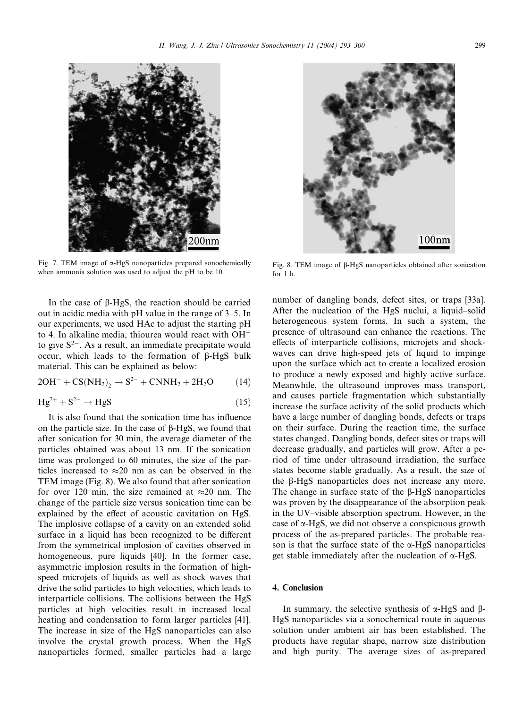

Fig. 7. TEM image of  $\alpha$ -HgS nanoparticles prepared sonochemically when ammonia solution was used to adjust the pH to be 10.

In the case of b-HgS, the reaction should be carried out in acidic media with pH value in the range of 3–5. In our experiments, we used HAc to adjust the starting pH to 4. In alkaline media, thiourea would react with  $OH^$ to give  $S^{2-}$ . As a result, an immediate precipitate would occur, which leads to the formation of  $\beta$ -HgS bulk material. This can be explained as below:

$$
2OH^{-} + CS(NH_{2})_{2} \rightarrow S^{2-} + CNNH_{2} + 2H_{2}O \qquad (14)
$$

$$
Hg^{2+} + S^{2-} \rightarrow HgS \tag{15}
$$

It is also found that the sonication time has influence on the particle size. In the case of  $\beta$ -HgS, we found that after sonication for 30 min, the average diameter of the particles obtained was about 13 nm. If the sonication time was prolonged to 60 minutes, the size of the particles increased to  $\approx$ 20 nm as can be observed in the TEM image (Fig. 8). We also found that after sonication for over 120 min, the size remained at  $\approx$  20 nm. The change of the particle size versus sonication time can be explained by the effect of acoustic cavitation on HgS. The implosive collapse of a cavity on an extended solid surface in a liquid has been recognized to be different from the symmetrical implosion of cavities observed in homogeneous, pure liquids [40]. In the former case, asymmetric implosion results in the formation of highspeed microjets of liquids as well as shock waves that drive the solid particles to high velocities, which leads to interparticle collisions. The collisions between the HgS particles at high velocities result in increased local heating and condensation to form larger particles [41]. The increase in size of the HgS nanoparticles can also involve the crystal growth process. When the HgS nanoparticles formed, smaller particles had a large



Fig. 8. TEM image of b-HgS nanoparticles obtained after sonication for 1 h.

number of dangling bonds, defect sites, or traps [33a]. After the nucleation of the HgS nuclui, a liquid–solid heterogeneous system forms. In such a system, the presence of ultrasound can enhance the reactions. The effects of interparticle collisions, microjets and shockwaves can drive high-speed jets of liquid to impinge upon the surface which act to create a localized erosion to produce a newly exposed and highly active surface. Meanwhile, the ultrasound improves mass transport, and causes particle fragmentation which substantially increase the surface activity of the solid products which have a large number of dangling bonds, defects or traps on their surface. During the reaction time, the surface states changed. Dangling bonds, defect sites or traps will decrease gradually, and particles will grow. After a period of time under ultrasound irradiation, the surface states become stable gradually. As a result, the size of the b-HgS nanoparticles does not increase any more. The change in surface state of the  $\beta$ -HgS nanoparticles was proven by the disappearance of the absorption peak in the UV–visible absorption spectrum. However, in the case of  $\alpha$ -HgS, we did not observe a conspicuous growth process of the as-prepared particles. The probable reason is that the surface state of the  $\alpha$ -HgS nanoparticles get stable immediately after the nucleation of  $\alpha$ -HgS.

### 4. Conclusion

In summary, the selective synthesis of  $\alpha$ -HgS and B-HgS nanoparticles via a sonochemical route in aqueous solution under ambient air has been established. The products have regular shape, narrow size distribution and high purity. The average sizes of as-prepared